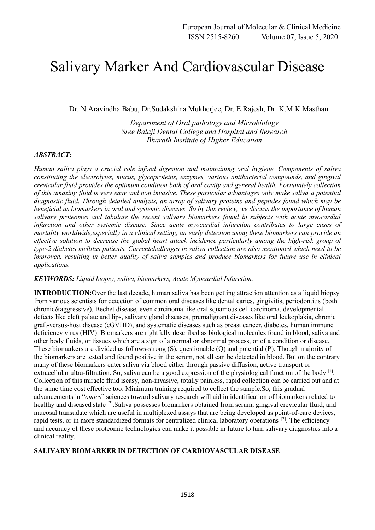# Salivary Marker And Cardiovascular Disease

Dr. N.Aravindha Babu, Dr.Sudakshina Mukherjee, Dr. E.Rajesh, Dr. K.M.K.Masthan

*Department of Oral pathology and Microbiology Sree Balaji Dental College and Hospital and Research Bharath Institute of Higher Education*

## *ABSTRACT:*

*Human saliva plays a crucial role infood digestion and maintaining oral hygiene. Components of saliva constituting the electrolytes, mucus, glycoproteins, enzymes, various antibacterial compounds, and gingival crevicular fluid provides the optimum condition both of oral cavity and general health. Fortunately collection of this amazing fluid is very easy and non invasive. These particular advantages only make saliva a potential diagnostic fluid. Through detailed analysis, an array of salivary proteins and peptides found which may be beneficial as biomarkers in oral and systemic diseases. So by this review, we discuss the importance of human salivary proteomes and tabulate the recent salivary biomarkers found in subjects with acute myocardial infarction and other systemic disease. Since acute myocardial infarction contributes to large cases of mortality worldwide,especially in a clinical setting, an early detection using these biomarkers can provide an effective solution to decrease the global heart attack incidence particularly among the high-risk group of type-2 diabetes mellitus patients. Currentchallenges in saliva collection are also mentioned which need to be improved, resulting in better quality of saliva samples and produce biomarkers for future use in clinical applications.*

## *KEYWORDS: Liquid biopsy, saliva, biomarkers, Acute Myocardial Infarction.*

**INTRODUCTION:** Over the last decade, human saliva has been getting attraction attention as a liquid biopsy from various scientists for detection of common oral diseases like dental caries, gingivitis, periodontitis (both chronic&aggressive), Bechet disease, even carcinoma like oral squamous cell carcinoma, developmental defects like cleft palate and lips, salivary gland diseases, premalignant diseases like oral leukoplakia, chronic graft-versus-host disease (cGVHD), and systematic diseases such as breast cancer, diabetes, human immune deficiency virus (HIV). Biomarkers are rightfully described as biological molecules found in blood, saliva and other body fluids, or tissues which are a sign of a normal or abnormal process, or of a condition or disease. These biomarkers are divided as follows-strong (S), questionable (Q) and potential (P). Though majority of the biomarkers are tested and found positive in the serum, not all can be detected in blood. But on the contrary many of these biomarkers enter saliva via blood either through passive diffusion, active transport or extracellular ultra-filtration. So, saliva can be a good expression of the physiological function of the body [1]. Collection of this miracle fluid iseasy, non-invasive, totally painless, rapid collection can be carried out and at the same time cost effective too. Minimum training required to collect the sample.So, this gradual advancements in "*omics*" sciences toward salivary research will aid in identification of biomarkers related to healthy and diseased state <sup>[2]</sup>. Saliva possesses biomarkers obtained from serum, gingival crevicular fluid, and mucosal transudate which are useful in multiplexed assays that are being developed as point-of-care devices, rapid tests, or in more standardized formats for centralized clinical laboratory operations [7]. The efficiency and accuracy of these proteomic technologies can make it possible in future to turn salivary diagnostics into a clinical reality.

## **SALIVARY BIOMARKER IN DETECTION OF CARDIOVASCULAR DISEASE**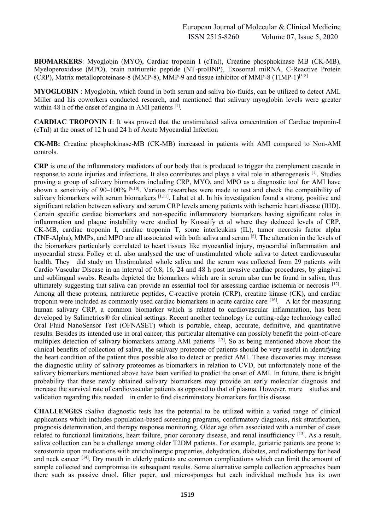**BIOMARKERS**: Myoglobin (MYO), Cardiac troponin I (cTnI), Creatine phosphokinase MB (CK-MB), Myeloperoxidase (MPO), brain natriuretic peptide (NT-proBNP), Exosomal miRNA, C-Reactive Protein (CRP), Matrix metalloproteinase-8 (MMP-8), MMP-9 and tissue inhibitor of MMP-8 (TIMP-1) $[3-8]$ 

**MYOGLOBIN** : Myoglobin, which found in both serum and saliva bio-fluids, can be utilized to detect AMI. Miller and his coworkers conducted research, and mentioned that salivary myoglobin levels were greater within 48 h of the onset of angina in AMI patients <sup>[1]</sup>.

**CARDIAC TROPONIN I**: It was proved that the unstimulated saliva concentration of Cardiac troponin-I (cTnI) at the onset of 12 h and 24 h of Acute Myocardial Infection

**CK-MB:** Creatine phosphokinase-MB (CK-MB) increased in patients with AMI compared to Non-AMI controls.

**CRP** is one of the inflammatory mediators of our body that is produced to trigger the complement cascade in response to acute injuries and infections. It also contributes and plays a vital role in atherogenesis [1]. Studies proving a group of salivary biomarkers including CRP, MYO, and MPO as a diagnostic tool for AMI have shown a sensitivity of 90–100% [9,10]. Various researches were made to test and check the compatibility of salivary biomarkers with serum biomarkers [1,11]. Labat et al. In his investigation found a strong, positive and significant relation between salivary and serum CRP levels among patients with ischemic heart disease (IHD). Certain specific cardiac biomarkers and non-specific inflammatory biomarkers having significant roles in inflammation and plaque instability were studied by Kossaify et al where they deduced levels of CRP, CK-MB, cardiac troponin I, cardiac troponin T, some interleukins (IL), tumor necrosis factor alpha (TNF-Alpha), MMPs, and MPO are all associated with both saliva and serum [5]. The alteration in the levels of the biomarkers particularly correlated to heart tissues like myocardial injury, myocardial inflammation and myocardial stress. Folley et al. also analysed the use of unstimulated whole saliva to detect cardiovascular health. They did study on Unstimulated whole saliva and the serum was collected from 29 patients with Cardio Vascular Disease in an interval of 0.8, 16, 24 and 48 h post invasive cardiac procedures, by gingival and sublingual swabs. Results depicted the biomarkers which are in serum also can be found in saliva, thus ultimately suggesting that saliva can provide an essential tool for assessing cardiac ischemia or necrosis [12]. Among all these proteins, natriuretic peptides, C-reactive protein (CRP), creatine kinase (CK), and cardiac troponin were included as commonly used cardiac biomarkers in acute cardiac care [16]. A kit for measuring human salivary CRP, a common biomarker which is related to cardiovascular inflammation, has been developed by Salimetrics® for clinical settings. Recent another technology i.e cutting-edge technology called Oral Fluid NanoSensor Test (OFNASET) which is portable, cheap, accurate, definitive, and quantitative results. Besides its intended use in oral cancer, this particular alternative can possibly benefit the point-of-care multiplex detection of salivary biomarkers among AMI patients [17]. So as being mentioned above about the clinical benefits of collection of saliva, the salivary proteome of patients should be very useful in identifying the heart condition of the patient thus possible also to detect or predict AMI. These discoveries may increase the diagnostic utility of salivary proteomes as biomarkers in relation to CVD, but unfortunately none of the salivary biomarkers mentioned above have been verified to predict the onset of AMI. In future, there is bright probability that these newly obtained salivary biomarkers may provide an early molecular diagnosis and increase the survival rate of cardiovascular patients as opposed to that of plasma. However, more studies and validation regarding this needed in order to find discriminatory biomarkers for this disease.

**CHALLENGES :**Saliva diagnostic tests has the potential to be utilized within a varied range of clinical applications which includes population-based screening programs, confirmatory diagnosis, risk stratification, prognosis determination, and therapy response monitoring. Older age often associated with a number of cases related to functional limitations, heart failure, prior coronary disease, and renal insufficiency [13]. As a result, saliva collection can be a challenge among older T2DM patients. For example, geriatric patients are prone to xerostomia upon medications with anticholinergic properties, dehydration, diabetes, and radiotherapy for head and neck cancer <sup>[14]</sup>. Dry mouth in elderly patients are common complications which can limit the amount of sample collected and compromise its subsequent results. Some alternative sample collection approaches been there such as passive drool, filter paper, and microsponges but each individual methods has its own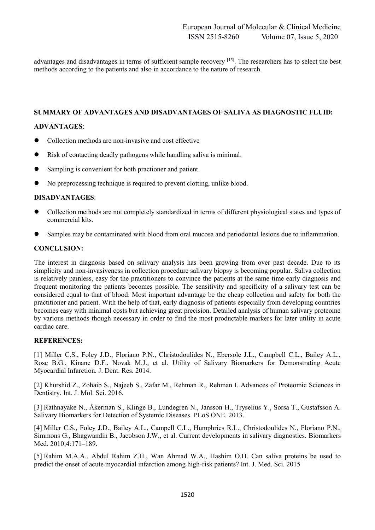advantages and disadvantages in terms of sufficient sample recovery [15]. The researchers has to select the best methods according to the patients and also in accordance to the nature of research.

## **SUMMARY OF ADVANTAGES AND DISADVANTAGES OF SALIVA AS DIAGNOSTIC FLUID:**

## **ADVANTAGES**:

- Collection methods are non-invasive and cost effective
- Risk of contacting deadly pathogens while handling saliva is minimal.
- Sampling is convenient for both practioner and patient.
- No preprocessing technique is required to prevent clotting, unlike blood.

## **DISADVANTAGES**:

- Collection methods are not completely standardized in terms of different physiological states and types of commercial kits.
- Samples may be contaminated with blood from oral mucosa and periodontal lesions due to inflammation.

## **CONCLUSION:**

The interest in diagnosis based on salivary analysis has been growing from over past decade. Due to its simplicity and non-invasiveness in collection procedure salivary biopsy is becoming popular. Saliva collection is relatively painless, easy for the practitioners to convince the patients at the same time early diagnosis and frequent monitoring the patients becomes possible. The sensitivity and specificity of a salivary test can be considered equal to that of blood. Most important advantage be the cheap collection and safety for both the practitioner and patient. With the help of that, early diagnosis of patients especially from developing countries becomes easy with minimal costs but achieving great precision. Detailed analysis of human salivary proteome by various methods though necessary in order to find the most productable markers for later utility in acute cardiac care.

## **REFERENCES:**

[1] Miller C.S., Foley J.D., Floriano P.N., Christodoulides N., Ebersole J.L., Campbell C.L., Bailey A.L., Rose B.G., Kinane D.F., Novak M.J., et al. Utility of Salivary Biomarkers for Demonstrating Acute Myocardial Infarction. J. Dent. Res. 2014.

[2] Khurshid Z., Zohaib S., Najeeb S., Zafar M., Rehman R., Rehman I. Advances of Proteomic Sciences in Dentistry. Int. J. Mol. Sci. 2016.

[3] Rathnayake N., Åkerman S., Klinge B., Lundegren N., Jansson H., Tryselius Y., Sorsa T., Gustafsson A. Salivary Biomarkers for Detection of Systemic Diseases. PLoS ONE. 2013.

[4] Miller C.S., Foley J.D., Bailey A.L., Campell C.L., Humphries R.L., Christodoulides N., Floriano P.N., Simmons G., Bhagwandin B., Jacobson J.W., et al. Current developments in salivary diagnostics. Biomarkers Med. 2010;4:171–189.

[5] Rahim M.A.A., Abdul Rahim Z.H., Wan Ahmad W.A., Hashim O.H. Can saliva proteins be used to predict the onset of acute myocardial infarction among high-risk patients? Int. J. Med. Sci. 2015